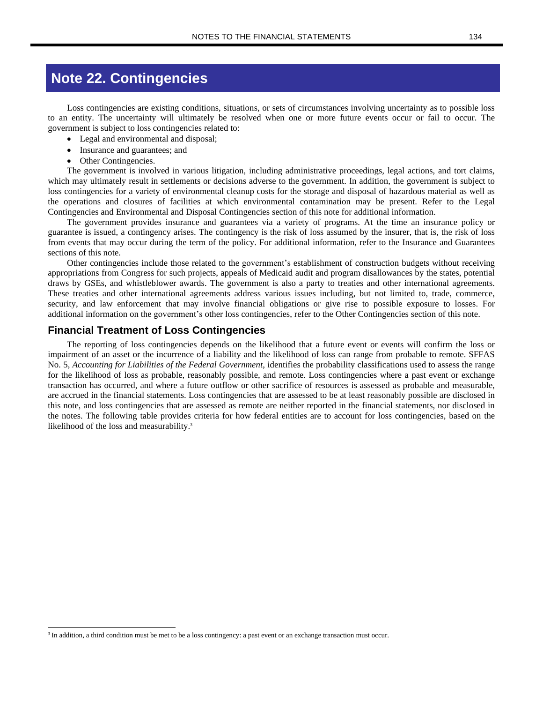## **Note 22. Contingencies**

Loss contingencies are existing conditions, situations, or sets of circumstances involving uncertainty as to possible loss to an entity. The uncertainty will ultimately be resolved when one or more future events occur or fail to occur. The government is subject to loss contingencies related to:

- Legal and environmental and disposal;
- Insurance and guarantees; and
- Other Contingencies.

The government is involved in various litigation, including administrative proceedings, legal actions, and tort claims, which may ultimately result in settlements or decisions adverse to the government. In addition, the government is subject to loss contingencies for a variety of environmental cleanup costs for the storage and disposal of hazardous material as well as the operations and closures of facilities at which environmental contamination may be present. Refer to the Legal Contingencies and Environmental and Disposal Contingencies section of this note for additional information.

The government provides insurance and guarantees via a variety of programs. At the time an insurance policy or guarantee is issued, a contingency arises. The contingency is the risk of loss assumed by the insurer, that is, the risk of loss from events that may occur during the term of the policy. For additional information, refer to the Insurance and Guarantees sections of this note.

Other contingencies include those related to the government's establishment of construction budgets without receiving appropriations from Congress for such projects, appeals of Medicaid audit and program disallowances by the states, potential draws by GSEs, and whistleblower awards. The government is also a party to treaties and other international agreements. These treaties and other international agreements address various issues including, but not limited to, trade, commerce, security, and law enforcement that may involve financial obligations or give rise to possible exposure to losses. For additional information on the government's other loss contingencies, refer to the Other Contingencies section of this note.

### **Financial Treatment of Loss Contingencies**

The reporting of loss contingencies depends on the likelihood that a future event or events will confirm the loss or impairment of an asset or the incurrence of a liability and the likelihood of loss can range from probable to remote. SFFAS No. 5, *Accounting for Liabilities of the Federal Government*, identifies the probability classifications used to assess the range for the likelihood of loss as probable, reasonably possible, and remote. Loss contingencies where a past event or exchange transaction has occurred, and where a future outflow or other sacrifice of resources is assessed as probable and measurable, are accrued in the financial statements. Loss contingencies that are assessed to be at least reasonably possible are disclosed in this note, and loss contingencies that are assessed as remote are neither reported in the financial statements, nor disclosed in the notes. The following table provides criteria for how federal entities are to account for loss contingencies, based on the likelihood of the loss and measurability.<sup>3</sup>

<sup>&</sup>lt;sup>3</sup> In addition, a third condition must be met to be a loss contingency: a past event or an exchange transaction must occur.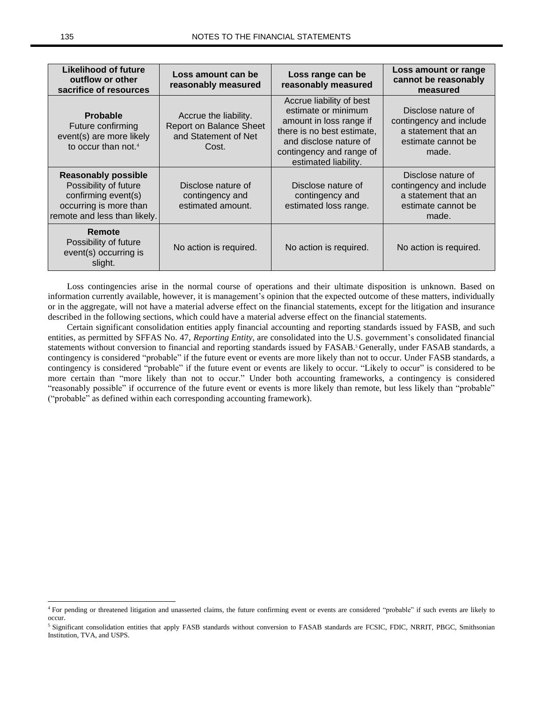| Likelihood of future<br>outflow or other<br>sacrifice of resources                                                                   | Loss amount can be<br>reasonably measured                                         | Loss range can be<br>reasonably measured                                                                                                                                               | Loss amount or range<br>cannot be reasonably<br>measured                                            |
|--------------------------------------------------------------------------------------------------------------------------------------|-----------------------------------------------------------------------------------|----------------------------------------------------------------------------------------------------------------------------------------------------------------------------------------|-----------------------------------------------------------------------------------------------------|
| <b>Probable</b><br>Future confirming<br>event(s) are more likely<br>to occur than not. <sup>4</sup>                                  | Accrue the liability.<br>Report on Balance Sheet<br>and Statement of Net<br>Cost. | Accrue liability of best<br>estimate or minimum<br>amount in loss range if<br>there is no best estimate,<br>and disclose nature of<br>contingency and range of<br>estimated liability. | Disclose nature of<br>contingency and include<br>a statement that an<br>estimate cannot be<br>made. |
| <b>Reasonably possible</b><br>Possibility of future<br>confirming event(s)<br>occurring is more than<br>remote and less than likely. | Disclose nature of<br>contingency and<br>estimated amount.                        | Disclose nature of<br>contingency and<br>estimated loss range.                                                                                                                         | Disclose nature of<br>contingency and include<br>a statement that an<br>estimate cannot be<br>made. |
| Remote<br>Possibility of future<br>event(s) occurring is<br>slight.                                                                  | No action is required.                                                            | No action is required.                                                                                                                                                                 | No action is required.                                                                              |

Loss contingencies arise in the normal course of operations and their ultimate disposition is unknown. Based on information currently available, however, it is management's opinion that the expected outcome of these matters, individually or in the aggregate, will not have a material adverse effect on the financial statements, except for the litigation and insurance described in the following sections, which could have a material adverse effect on the financial statements.

Certain significant consolidation entities apply financial accounting and reporting standards issued by FASB, and such entities, as permitted by SFFAS No. 47, *Reporting Entity*, are consolidated into the U.S. government's consolidated financial statements without conversion to financial and reporting standards issued by FASAB.<sup>5</sup> Generally, under FASAB standards, a contingency is considered "probable" if the future event or events are more likely than not to occur. Under FASB standards, a contingency is considered "probable" if the future event or events are likely to occur. "Likely to occur" is considered to be more certain than "more likely than not to occur." Under both accounting frameworks, a contingency is considered "reasonably possible" if occurrence of the future event or events is more likely than remote, but less likely than "probable" ("probable" as defined within each corresponding accounting framework).

<sup>4</sup> For pending or threatened litigation and unasserted claims, the future confirming event or events are considered "probable" if such events are likely to occur.

<sup>&</sup>lt;sup>5</sup> Significant consolidation entities that apply FASB standards without conversion to FASAB standards are FCSIC, FDIC, NRRIT, PBGC, Smithsonian Institution, TVA, and USPS.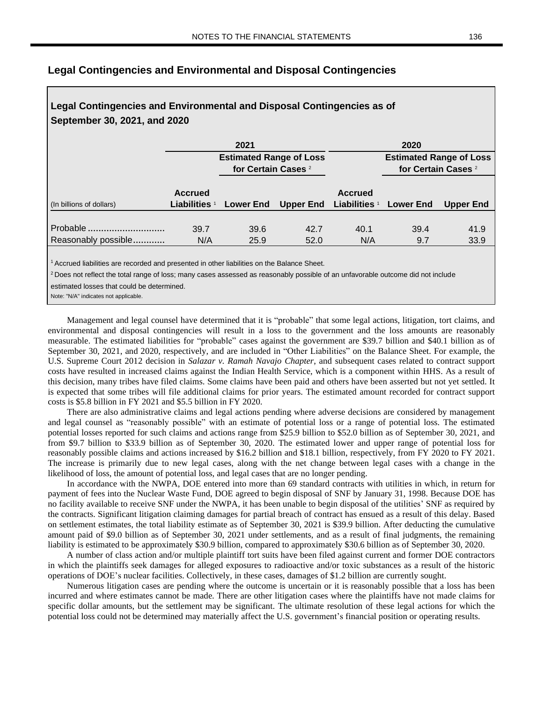# **Legal Contingencies and Environmental and Disposal Contingencies as of September 30, 2021, and 2020 2021 2020 Estimated Range of Loss Estimated Range of Loss for Certain Cases** <sup>2</sup> **for Certain Cases** <sup>2</sup> **Accrued Accrued** (In billions of dollars) **Liabilities** <sup>1</sup> **Lower End Upper End Liabilities** <sup>1</sup> **Lower End Upper End**

Probable ................................................................ 39.7 39.6................................ 42.7 ................................ 40.1 39.4................................ 41.9 .......................... Reasonably possible................................ N/A ................................ 25.9 ................................ 52.0 N/A ................................ 9.7 33.9 .........................................

## **Legal Contingencies and Environmental and Disposal Contingencies**

 $1$  Accrued liabilities are recorded and presented in other liabilities on the Balance Sheet.

<sup>2</sup> Does not reflect the total range of loss; many cases assessed as reasonably possible of an unfavorable outcome did not include

estimated losses that could be determined.

Note: "N/A" indicates not applicable.

Management and legal counsel have determined that it is "probable" that some legal actions, litigation, tort claims, and environmental and disposal contingencies will result in a loss to the government and the loss amounts are reasonably measurable. The estimated liabilities for "probable" cases against the government are \$39.7 billion and \$40.1 billion as of September 30, 2021, and 2020, respectively, and are included in "Other Liabilities" on the Balance Sheet. For example, the U.S. Supreme Court 2012 decision in *Salazar v. Ramah Navajo Chapter*, and subsequent cases related to contract support costs have resulted in increased claims against the Indian Health Service, which is a component within HHS. As a result of this decision, many tribes have filed claims. Some claims have been paid and others have been asserted but not yet settled. It is expected that some tribes will file additional claims for prior years. The estimated amount recorded for contract support costs is \$5.8 billion in FY 2021 and \$5.5 billion in FY 2020.

There are also administrative claims and legal actions pending where adverse decisions are considered by management and legal counsel as "reasonably possible" with an estimate of potential loss or a range of potential loss. The estimated potential losses reported for such claims and actions range from \$25.9 billion to \$52.0 billion as of September 30, 2021, and from \$9.7 billion to \$33.9 billion as of September 30, 2020. The estimated lower and upper range of potential loss for reasonably possible claims and actions increased by \$16.2 billion and \$18.1 billion, respectively, from FY 2020 to FY 2021. The increase is primarily due to new legal cases, along with the net change between legal cases with a change in the likelihood of loss, the amount of potential loss, and legal cases that are no longer pending.

In accordance with the NWPA, DOE entered into more than 69 standard contracts with utilities in which, in return for payment of fees into the Nuclear Waste Fund, DOE agreed to begin disposal of SNF by January 31, 1998. Because DOE has no facility available to receive SNF under the NWPA, it has been unable to begin disposal of the utilities' SNF as required by the contracts. Significant litigation claiming damages for partial breach of contract has ensued as a result of this delay. Based on settlement estimates, the total liability estimate as of September 30, 2021 is \$39.9 billion. After deducting the cumulative amount paid of \$9.0 billion as of September 30, 2021 under settlements, and as a result of final judgments, the remaining liability is estimated to be approximately \$30.9 billion, compared to approximately \$30.6 billion as of September 30, 2020.

A number of class action and/or multiple plaintiff tort suits have been filed against current and former DOE contractors in which the plaintiffs seek damages for alleged exposures to radioactive and/or toxic substances as a result of the historic operations of DOE's nuclear facilities. Collectively, in these cases, damages of \$1.2 billion are currently sought.

Numerous litigation cases are pending where the outcome is uncertain or it is reasonably possible that a loss has been incurred and where estimates cannot be made. There are other litigation cases where the plaintiffs have not made claims for specific dollar amounts, but the settlement may be significant. The ultimate resolution of these legal actions for which the potential loss could not be determined may materially affect the U.S. government's financial position or operating results.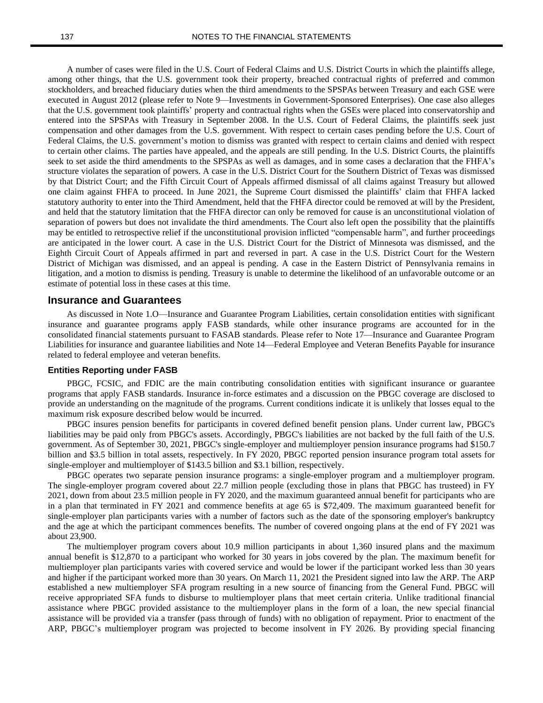A number of cases were filed in the U.S. Court of Federal Claims and U.S. District Courts in which the plaintiffs allege, among other things, that the U.S. government took their property, breached contractual rights of preferred and common stockholders, and breached fiduciary duties when the third amendments to the SPSPAs between Treasury and each GSE were executed in August 2012 (please refer to Note 9—Investments in Government-Sponsored Enterprises). One case also alleges that the U.S. government took plaintiffs' property and contractual rights when the GSEs were placed into conservatorship and entered into the SPSPAs with Treasury in September 2008. In the U.S. Court of Federal Claims, the plaintiffs seek just compensation and other damages from the U.S. government. With respect to certain cases pending before the U.S. Court of Federal Claims, the U.S. government's motion to dismiss was granted with respect to certain claims and denied with respect to certain other claims. The parties have appealed, and the appeals are still pending. In the U.S. District Courts, the plaintiffs seek to set aside the third amendments to the SPSPAs as well as damages, and in some cases a declaration that the FHFA's structure violates the separation of powers. A case in the U.S. District Court for the Southern District of Texas was dismissed by that District Court; and the Fifth Circuit Court of Appeals affirmed dismissal of all claims against Treasury but allowed one claim against FHFA to proceed. In June 2021, the Supreme Court dismissed the plaintiffs' claim that FHFA lacked statutory authority to enter into the Third Amendment, held that the FHFA director could be removed at will by the President, and held that the statutory limitation that the FHFA director can only be removed for cause is an unconstitutional violation of separation of powers but does not invalidate the third amendments. The Court also left open the possibility that the plaintiffs may be entitled to retrospective relief if the unconstitutional provision inflicted "compensable harm", and further proceedings are anticipated in the lower court. A case in the U.S. District Court for the District of Minnesota was dismissed, and the Eighth Circuit Court of Appeals affirmed in part and reversed in part. A case in the U.S. District Court for the Western District of Michigan was dismissed, and an appeal is pending. A case in the Eastern District of Pennsylvania remains in litigation, and a motion to dismiss is pending. Treasury is unable to determine the likelihood of an unfavorable outcome or an estimate of potential loss in these cases at this time.

#### **Insurance and Guarantees**

As discussed in Note 1.O—Insurance and Guarantee Program Liabilities, certain consolidation entities with significant insurance and guarantee programs apply FASB standards, while other insurance programs are accounted for in the consolidated financial statements pursuant to FASAB standards. Please refer to Note 17—Insurance and Guarantee Program Liabilities for insurance and guarantee liabilities and Note 14—Federal Employee and Veteran Benefits Payable for insurance related to federal employee and veteran benefits.

#### **Entities Reporting under FASB**

PBGC, FCSIC, and FDIC are the main contributing consolidation entities with significant insurance or guarantee programs that apply FASB standards. Insurance in-force estimates and a discussion on the PBGC coverage are disclosed to provide an understanding on the magnitude of the programs. Current conditions indicate it is unlikely that losses equal to the maximum risk exposure described below would be incurred.

PBGC insures pension benefits for participants in covered defined benefit pension plans. Under current law, PBGC's liabilities may be paid only from PBGC's assets. Accordingly, PBGC's liabilities are not backed by the full faith of the U.S. government. As of September 30, 2021, PBGC's single-employer and multiemployer pension insurance programs had \$150.7 billion and \$3.5 billion in total assets, respectively. In FY 2020, PBGC reported pension insurance program total assets for single-employer and multiemployer of \$143.5 billion and \$3.1 billion, respectively.

PBGC operates two separate pension insurance programs: a single-employer program and a multiemployer program. The single-employer program covered about 22.7 million people (excluding those in plans that PBGC has trusteed) in FY 2021, down from about 23.5 million people in FY 2020, and the maximum guaranteed annual benefit for participants who are in a plan that terminated in FY 2021 and commence benefits at age 65 is \$72,409. The maximum guaranteed benefit for single-employer plan participants varies with a number of factors such as the date of the sponsoring employer's bankruptcy and the age at which the participant commences benefits. The number of covered ongoing plans at the end of FY 2021 was about 23,900.

The multiemployer program covers about 10.9 million participants in about 1,360 insured plans and the maximum annual benefit is \$12,870 to a participant who worked for 30 years in jobs covered by the plan. The maximum benefit for multiemployer plan participants varies with covered service and would be lower if the participant worked less than 30 years and higher if the participant worked more than 30 years. On March 11, 2021 the President signed into law the ARP. The ARP established a new multiemployer SFA program resulting in a new source of financing from the General Fund. PBGC will receive appropriated SFA funds to disburse to multiemployer plans that meet certain criteria. Unlike traditional financial assistance where PBGC provided assistance to the multiemployer plans in the form of a loan, the new special financial assistance will be provided via a transfer (pass through of funds) with no obligation of repayment. Prior to enactment of the ARP, PBGC's multiemployer program was projected to become insolvent in FY 2026. By providing special financing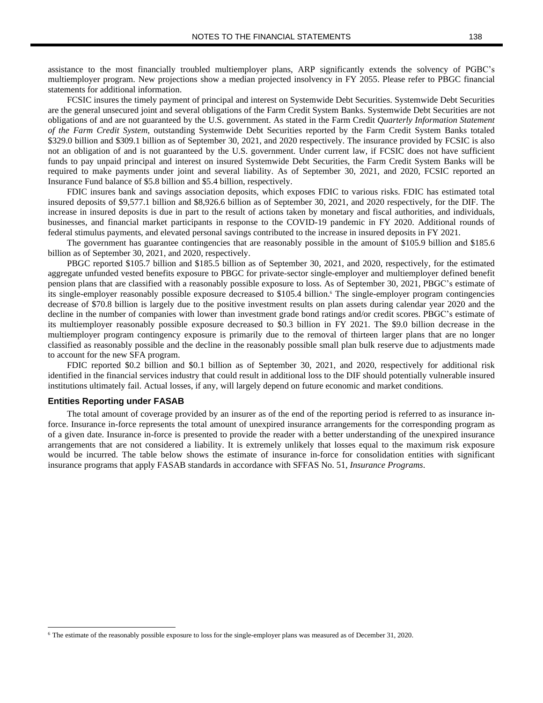assistance to the most financially troubled multiemployer plans, ARP significantly extends the solvency of PGBC's multiemployer program. New projections show a median projected insolvency in FY 2055. Please refer to PBGC financial statements for additional information.

FCSIC insures the timely payment of principal and interest on Systemwide Debt Securities. Systemwide Debt Securities are the general unsecured joint and several obligations of the Farm Credit System Banks. Systemwide Debt Securities are not obligations of and are not guaranteed by the U.S. government. As stated in the Farm Credit *Quarterly Information Statement of the Farm Credit System*, outstanding Systemwide Debt Securities reported by the Farm Credit System Banks totaled \$329.0 billion and \$309.1 billion as of September 30, 2021, and 2020 respectively. The insurance provided by FCSIC is also not an obligation of and is not guaranteed by the U.S. government. Under current law, if FCSIC does not have sufficient funds to pay unpaid principal and interest on insured Systemwide Debt Securities, the Farm Credit System Banks will be required to make payments under joint and several liability. As of September 30, 2021, and 2020, FCSIC reported an Insurance Fund balance of \$5.8 billion and \$5.4 billion, respectively.

FDIC insures bank and savings association deposits, which exposes FDIC to various risks. FDIC has estimated total insured deposits of \$9,577.1 billion and \$8,926.6 billion as of September 30, 2021, and 2020 respectively, for the DIF. The increase in insured deposits is due in part to the result of actions taken by monetary and fiscal authorities, and individuals, businesses, and financial market participants in response to the COVID-19 pandemic in FY 2020. Additional rounds of federal stimulus payments, and elevated personal savings contributed to the increase in insured deposits in FY 2021.

The government has guarantee contingencies that are reasonably possible in the amount of \$105.9 billion and \$185.6 billion as of September 30, 2021, and 2020, respectively.

PBGC reported \$105.7 billion and \$185.5 billion as of September 30, 2021, and 2020, respectively, for the estimated aggregate unfunded vested benefits exposure to PBGC for private-sector single-employer and multiemployer defined benefit pension plans that are classified with a reasonably possible exposure to loss. As of September 30, 2021, PBGC's estimate of its single-employer reasonably possible exposure decreased to \$105.4 billion.<sup>6</sup> The single-employer program contingencies decrease of \$70.8 billion is largely due to the positive investment results on plan assets during calendar year 2020 and the decline in the number of companies with lower than investment grade bond ratings and/or credit scores. PBGC's estimate of its multiemployer reasonably possible exposure decreased to \$0.3 billion in FY 2021. The \$9.0 billion decrease in the multiemployer program contingency exposure is primarily due to the removal of thirteen larger plans that are no longer classified as reasonably possible and the decline in the reasonably possible small plan bulk reserve due to adjustments made to account for the new SFA program.

FDIC reported \$0.2 billion and \$0.1 billion as of September 30, 2021, and 2020, respectively for additional risk identified in the financial services industry that could result in additional loss to the DIF should potentially vulnerable insured institutions ultimately fail. Actual losses, if any, will largely depend on future economic and market conditions.

#### **Entities Reporting under FASAB**

The total amount of coverage provided by an insurer as of the end of the reporting period is referred to as insurance inforce. Insurance in-force represents the total amount of unexpired insurance arrangements for the corresponding program as of a given date. Insurance in-force is presented to provide the reader with a better understanding of the unexpired insurance arrangements that are not considered a liability. It is extremely unlikely that losses equal to the maximum risk exposure would be incurred. The table below shows the estimate of insurance in-force for consolidation entities with significant insurance programs that apply FASAB standards in accordance with SFFAS No. 51, *Insurance Programs*.

<sup>6</sup> The estimate of the reasonably possible exposure to loss for the single-employer plans was measured as of December 31, 2020.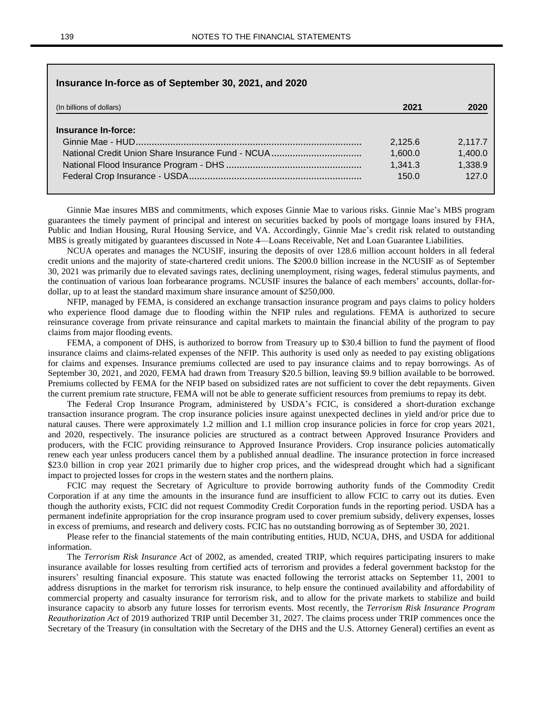## **Insurance In-force as of September 30, 2021, and 2020**

| (In billions of dollars) | 2021    | 2020    |
|--------------------------|---------|---------|
|                          |         |         |
| Insurance In-force:      |         |         |
|                          | 2.125.6 | 2,117.7 |
|                          | 1,600.0 | 1,400.0 |
|                          | 1.341.3 | 1,338.9 |
|                          | 150.0   | 127.0   |
|                          |         |         |

Ginnie Mae insures MBS and commitments, which exposes Ginnie Mae to various risks. Ginnie Mae's MBS program guarantees the timely payment of principal and interest on securities backed by pools of mortgage loans insured by FHA, Public and Indian Housing, Rural Housing Service, and VA. Accordingly, Ginnie Mae's credit risk related to outstanding MBS is greatly mitigated by guarantees discussed in Note 4—Loans Receivable, Net and Loan Guarantee Liabilities.

NCUA operates and manages the NCUSIF, insuring the deposits of over 128.6 million account holders in all federal credit unions and the majority of state-chartered credit unions. The \$200.0 billion increase in the NCUSIF as of September 30, 2021 was primarily due to elevated savings rates, declining unemployment, rising wages, federal stimulus payments, and the continuation of various loan forbearance programs. NCUSIF insures the balance of each members' accounts, dollar-fordollar, up to at least the standard maximum share insurance amount of \$250,000.

NFIP, managed by FEMA, is considered an exchange transaction insurance program and pays claims to policy holders who experience flood damage due to flooding within the NFIP rules and regulations. FEMA is authorized to secure reinsurance coverage from private reinsurance and capital markets to maintain the financial ability of the program to pay claims from major flooding events.

FEMA, a component of DHS, is authorized to borrow from Treasury up to \$30.4 billion to fund the payment of flood insurance claims and claims-related expenses of the NFIP. This authority is used only as needed to pay existing obligations for claims and expenses. Insurance premiums collected are used to pay insurance claims and to repay borrowings. As of September 30, 2021, and 2020, FEMA had drawn from Treasury \$20.5 billion, leaving \$9.9 billion available to be borrowed. Premiums collected by FEMA for the NFIP based on subsidized rates are not sufficient to cover the debt repayments. Given the current premium rate structure, FEMA will not be able to generate sufficient resources from premiums to repay its debt.

The Federal Crop Insurance Program, administered by USDA's FCIC, is considered a short-duration exchange transaction insurance program. The crop insurance policies insure against unexpected declines in yield and/or price due to natural causes. There were approximately 1.2 million and 1.1 million crop insurance policies in force for crop years 2021, and 2020, respectively. The insurance policies are structured as a contract between Approved Insurance Providers and producers, with the FCIC providing reinsurance to Approved Insurance Providers. Crop insurance policies automatically renew each year unless producers cancel them by a published annual deadline. The insurance protection in force increased \$23.0 billion in crop year 2021 primarily due to higher crop prices, and the widespread drought which had a significant impact to projected losses for crops in the western states and the northern plains.

FCIC may request the Secretary of Agriculture to provide borrowing authority funds of the Commodity Credit Corporation if at any time the amounts in the insurance fund are insufficient to allow FCIC to carry out its duties. Even though the authority exists, FCIC did not request Commodity Credit Corporation funds in the reporting period. USDA has a permanent indefinite appropriation for the crop insurance program used to cover premium subsidy, delivery expenses, losses in excess of premiums, and research and delivery costs. FCIC has no outstanding borrowing as of September 30, 2021.

Please refer to the financial statements of the main contributing entities, HUD, NCUA, DHS, and USDA for additional information.

The *Terrorism Risk Insurance Act* of 2002, as amended, created TRIP, which requires participating insurers to make insurance available for losses resulting from certified acts of terrorism and provides a federal government backstop for the insurers' resulting financial exposure. This statute was enacted following the terrorist attacks on September 11, 2001 to address disruptions in the market for terrorism risk insurance, to help ensure the continued availability and affordability of commercial property and casualty insurance for terrorism risk, and to allow for the private markets to stabilize and build insurance capacity to absorb any future losses for terrorism events. Most recently, the *Terrorism Risk Insurance Program Reauthorization Act* of 2019 authorized TRIP until December 31, 2027. The claims process under TRIP commences once the Secretary of the Treasury (in consultation with the Secretary of the DHS and the U.S. Attorney General) certifies an event as